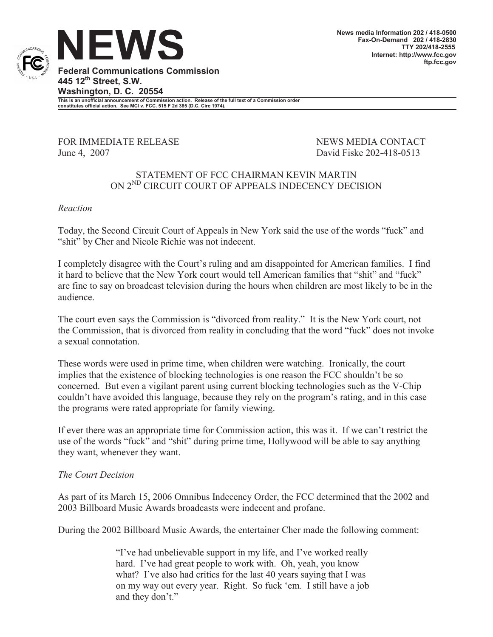

**This is an unofficial announcement of Commission action. Release of the full text of a Commission order constitutes official action. See MCI v. FCC. 515 F 2d 385 (D.C. Circ 1974).**

FOR IMMEDIATE RELEASE NEWS MEDIA CONTACT June 4, 2007 David Fiske 202-418-0513

## STATEMENT OF FCC CHAIRMAN KEVIN MARTIN ON 2<sup>ND</sup> CIRCUIT COURT OF APPEALS INDECENCY DECISION

## *Reaction*

Today, the Second Circuit Court of Appeals in New York said the use of the words "fuck" and "shit" by Cher and Nicole Richie was not indecent.

I completely disagree with the Court's ruling and am disappointed for American families. I find it hard to believe that the New York court would tell American families that "shit" and "fuck" are fine to say on broadcast television during the hours when children are most likely to be in the audience.

The court even says the Commission is "divorced from reality." It is the New York court, not the Commission, that is divorced from reality in concluding that the word "fuck" does not invoke a sexual connotation.

These words were used in prime time, when children were watching. Ironically, the court implies that the existence of blocking technologies is one reason the FCC shouldn't be so concerned. But even a vigilant parent using current blocking technologies such as the V-Chip couldn't have avoided this language, because they rely on the program's rating, and in this case the programs were rated appropriate for family viewing.

If ever there was an appropriate time for Commission action, this was it. If we can't restrict the use of the words "fuck" and "shit" during prime time, Hollywood will be able to say anything they want, whenever they want.

## *The Court Decision*

As part of its March 15, 2006 Omnibus Indecency Order, the FCC determined that the 2002 and 2003 Billboard Music Awards broadcasts were indecent and profane.

During the 2002 Billboard Music Awards, the entertainer Cher made the following comment:

"I've had unbelievable support in my life, and I've worked really hard. I've had great people to work with. Oh, yeah, you know what? I've also had critics for the last 40 years saying that I was on my way out every year. Right. So fuck 'em. I still have a job and they don't."